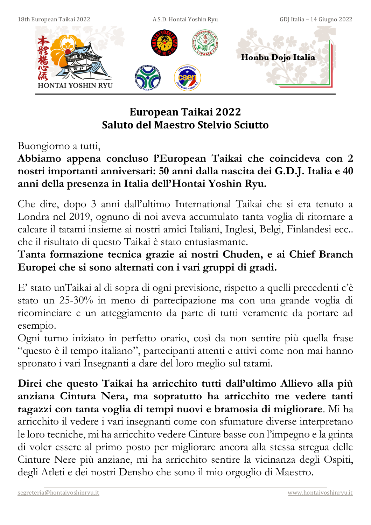

# **European Taikai 2022 Saluto del Maestro Stelvio Sciutto**

Buongiorno a tutti,

## **Abbiamo appena concluso l'European Taikai che coincideva con 2 nostri importanti anniversari: 50 anni dalla nascita dei G.D.J. Italia e 40 anni della presenza in Italia dell'Hontai Yoshin Ryu.**

Che dire, dopo 3 anni dall'ultimo International Taikai che si era tenuto a Londra nel 2019, ognuno di noi aveva accumulato tanta voglia di ritornare a calcare il tatami insieme ai nostri amici Italiani, Inglesi, Belgi, Finlandesi ecc.. che il risultato di questo Taikai è stato entusiasmante.

# **Tanta formazione tecnica grazie ai nostri Chuden, e ai Chief Branch Europei che si sono alternati con i vari gruppi di gradi.**

E' stato unTaikai al di sopra di ogni previsione, rispetto a quelli precedenti c'è stato un 25-30% in meno di partecipazione ma con una grande voglia di ricominciare e un atteggiamento da parte di tutti veramente da portare ad esempio.

Ogni turno iniziato in perfetto orario, così da non sentire più quella frase "questo è il tempo italiano", partecipanti attenti e attivi come non mai hanno spronato i vari Insegnanti a dare del loro meglio sul tatami.

**Direi che questo Taikai ha arricchito tutti dall'ultimo Allievo alla più anziana Cintura Nera, ma sopratutto ha arricchito me vedere tanti ragazzi con tanta voglia di tempi nuovi e bramosia di migliorare**. Mi ha arricchito il vedere i vari insegnanti come con sfumature diverse interpretano le loro tecniche, mi ha arricchito vedere Cinture basse con l'impegno e la grinta di voler essere al primo posto per migliorare ancora alla stessa stregua delle Cinture Nere più anziane, mi ha arricchito sentire la vicinanza degli Ospiti, degli Atleti e dei nostri Densho che sono il mio orgoglio di Maestro.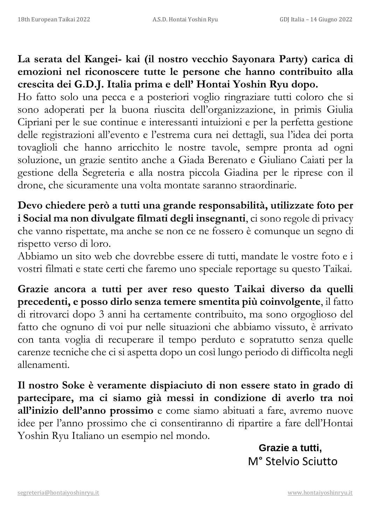**La serata del Kangei- kai (il nostro vecchio Sayonara Party) carica di emozioni nel riconoscere tutte le persone che hanno contribuito alla crescita dei G.D.J. Italia prima e dell' Hontai Yoshin Ryu dopo.** 

Ho fatto solo una pecca e a posteriori voglio ringraziare tutti coloro che si sono adoperati per la buona riuscita dell'organizzazione, in primis Giulia Cipriani per le sue continue e interessanti intuizioni e per la perfetta gestione delle registrazioni all'evento e l'estrema cura nei dettagli, sua l'idea dei porta tovaglioli che hanno arricchito le nostre tavole, sempre pronta ad ogni soluzione, un grazie sentito anche a Giada Berenato e Giuliano Caiati per la gestione della Segreteria e alla nostra piccola Giadina per le riprese con il drone, che sicuramente una volta montate saranno straordinarie.

**Devo chiedere però a tutti una grande responsabilità, utilizzate foto per i Social ma non divulgate filmati degli insegnanti**, ci sono regole di privacy che vanno rispettate, ma anche se non ce ne fossero è comunque un segno di rispetto verso di loro.

Abbiamo un sito web che dovrebbe essere di tutti, mandate le vostre foto e i vostri filmati e state certi che faremo uno speciale reportage su questo Taikai.

**Grazie ancora a tutti per aver reso questo Taikai diverso da quelli precedenti, e posso dirlo senza temere smentita più coinvolgente**, il fatto di ritrovarci dopo 3 anni ha certamente contribuito, ma sono orgoglioso del fatto che ognuno di voi pur nelle situazioni che abbiamo vissuto, è arrivato con tanta voglia di recuperare il tempo perduto e sopratutto senza quelle carenze tecniche che ci si aspetta dopo un così lungo periodo di difficolta negli allenamenti.

**Il nostro Soke è veramente dispiaciuto di non essere stato in grado di partecipare, ma ci siamo già messi in condizione di averlo tra noi all'inizio dell'anno prossimo** e come siamo abituati a fare, avremo nuove idee per l'anno prossimo che ci consentiranno di ripartire a fare dell'Hontai Yoshin Ryu Italiano un esempio nel mondo.

> **Grazie a tutti,** M° Stelvio Sciutto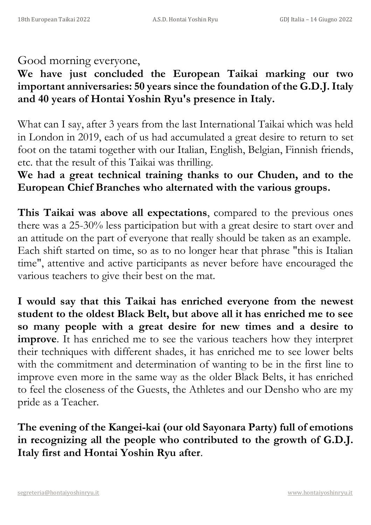#### Good morning everyone,

## **We have just concluded the European Taikai marking our two important anniversaries: 50 years since the foundation of the G.D.J. Italy and 40 years of Hontai Yoshin Ryu's presence in Italy.**

What can I say, after 3 years from the last International Taikai which was held in London in 2019, each of us had accumulated a great desire to return to set foot on the tatami together with our Italian, English, Belgian, Finnish friends, etc. that the result of this Taikai was thrilling.

## **We had a great technical training thanks to our Chuden, and to the European Chief Branches who alternated with the various groups.**

**This Taikai was above all expectations**, compared to the previous ones there was a 25-30% less participation but with a great desire to start over and an attitude on the part of everyone that really should be taken as an example. Each shift started on time, so as to no longer hear that phrase "this is Italian time", attentive and active participants as never before have encouraged the various teachers to give their best on the mat.

**I would say that this Taikai has enriched everyone from the newest student to the oldest Black Belt, but above all it has enriched me to see so many people with a great desire for new times and a desire to improve**. It has enriched me to see the various teachers how they interpret their techniques with different shades, it has enriched me to see lower belts with the commitment and determination of wanting to be in the first line to improve even more in the same way as the older Black Belts, it has enriched to feel the closeness of the Guests, the Athletes and our Densho who are my pride as a Teacher.

**The evening of the Kangei-kai (our old Sayonara Party) full of emotions in recognizing all the people who contributed to the growth of G.D.J. Italy first and Hontai Yoshin Ryu after**.